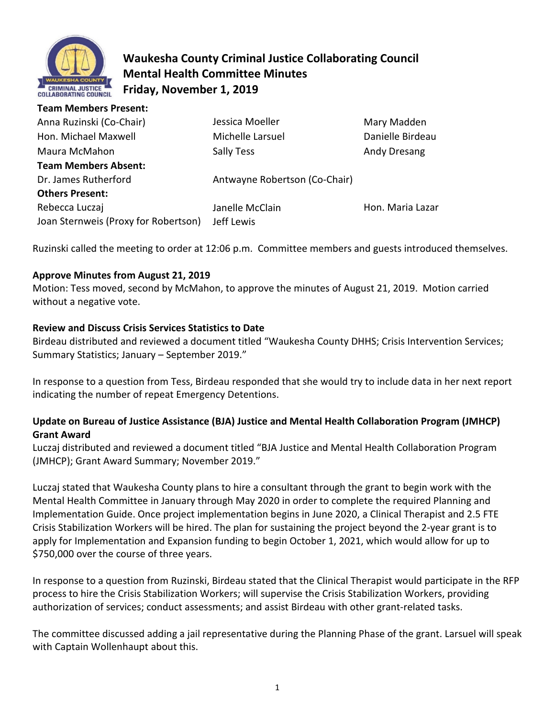

**Team Members Present:** 

# **Waukesha County Criminal Justice Collaborating Council Mental Health Committee Minutes Friday, November 1, 2019**

| Anna Ruzinski (Co-Chair)             | Jessica Moeller               | Mary Madden      |
|--------------------------------------|-------------------------------|------------------|
| Hon. Michael Maxwell                 | Michelle Larsuel              | Danielle Birdeau |
| Maura McMahon                        | Sally Tess                    | Andy Dresang     |
| <b>Team Members Absent:</b>          |                               |                  |
| Dr. James Rutherford                 | Antwayne Robertson (Co-Chair) |                  |
| <b>Others Present:</b>               |                               |                  |
| Rebecca Luczaj                       | Janelle McClain               | Hon. Maria Lazar |
| Joan Sternweis (Proxy for Robertson) | Jeff Lewis                    |                  |
|                                      |                               |                  |

Ruzinski called the meeting to order at 12:06 p.m. Committee members and guests introduced themselves.

# **Approve Minutes from August 21, 2019**

Motion: Tess moved, second by McMahon, to approve the minutes of August 21, 2019. Motion carried without a negative vote.

### **Review and Discuss Crisis Services Statistics to Date**

Birdeau distributed and reviewed a document titled "Waukesha County DHHS; Crisis Intervention Services; Summary Statistics; January – September 2019."

In response to a question from Tess, Birdeau responded that she would try to include data in her next report indicating the number of repeat Emergency Detentions.

# **Update on Bureau of Justice Assistance (BJA) Justice and Mental Health Collaboration Program (JMHCP) Grant Award**

Luczaj distributed and reviewed a document titled "BJA Justice and Mental Health Collaboration Program (JMHCP); Grant Award Summary; November 2019."

Luczaj stated that Waukesha County plans to hire a consultant through the grant to begin work with the Mental Health Committee in January through May 2020 in order to complete the required Planning and Implementation Guide. Once project implementation begins in June 2020, a Clinical Therapist and 2.5 FTE Crisis Stabilization Workers will be hired. The plan for sustaining the project beyond the 2-year grant is to apply for Implementation and Expansion funding to begin October 1, 2021, which would allow for up to \$750,000 over the course of three years.

In response to a question from Ruzinski, Birdeau stated that the Clinical Therapist would participate in the RFP process to hire the Crisis Stabilization Workers; will supervise the Crisis Stabilization Workers, providing authorization of services; conduct assessments; and assist Birdeau with other grant-related tasks.

The committee discussed adding a jail representative during the Planning Phase of the grant. Larsuel will speak with Captain Wollenhaupt about this.